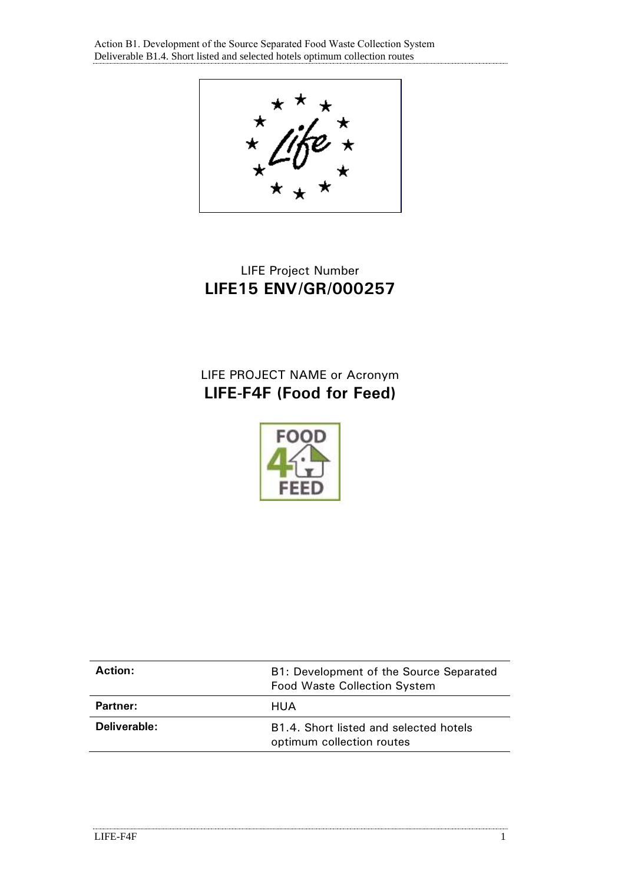Action Β1. Development of the Source Separated Food Waste Collection System Deliverable B1.4. Short listed and selected hotels optimum collection routes

## LIFE Project Number **LIFE15 ENV/GR/000257**

# LIFE PROJECT NAME or Acronym **LIFE-F4F (Food for Feed)**



| Action:      | B1: Development of the Source Separated<br><b>Food Waste Collection System</b> |
|--------------|--------------------------------------------------------------------------------|
| Partner:     | HUA                                                                            |
| Deliverable: | B1.4. Short listed and selected hotels<br>optimum collection routes            |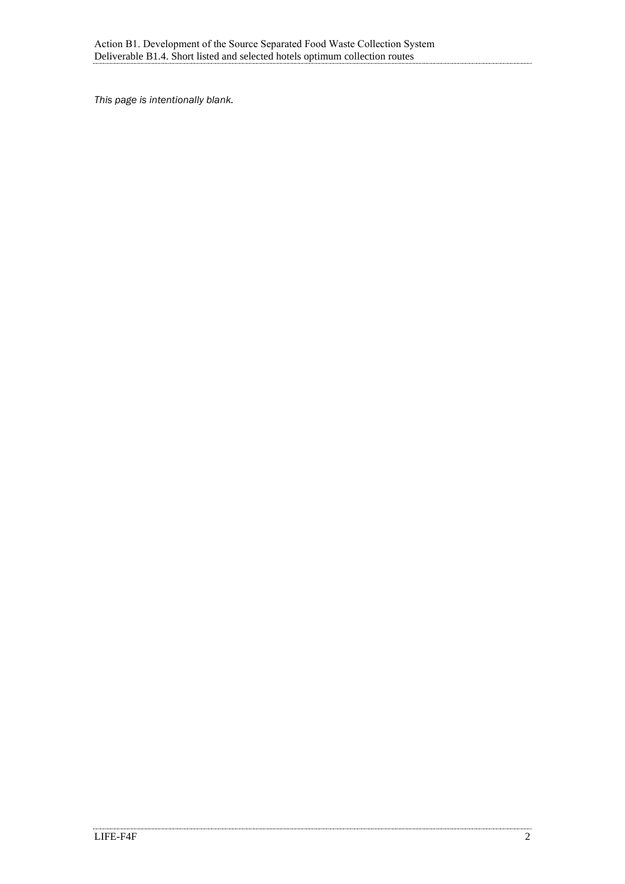*This page is intentionally blank.*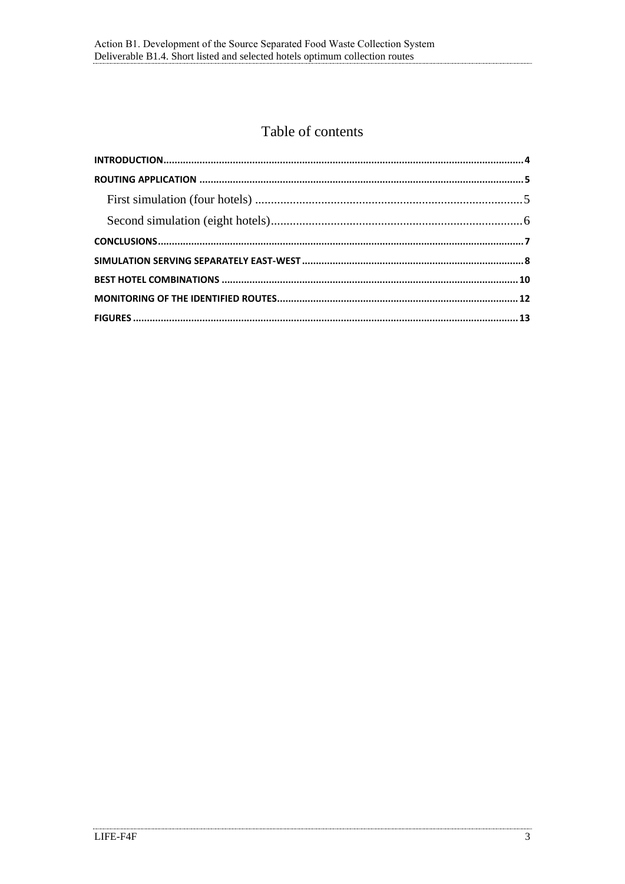# Table of contents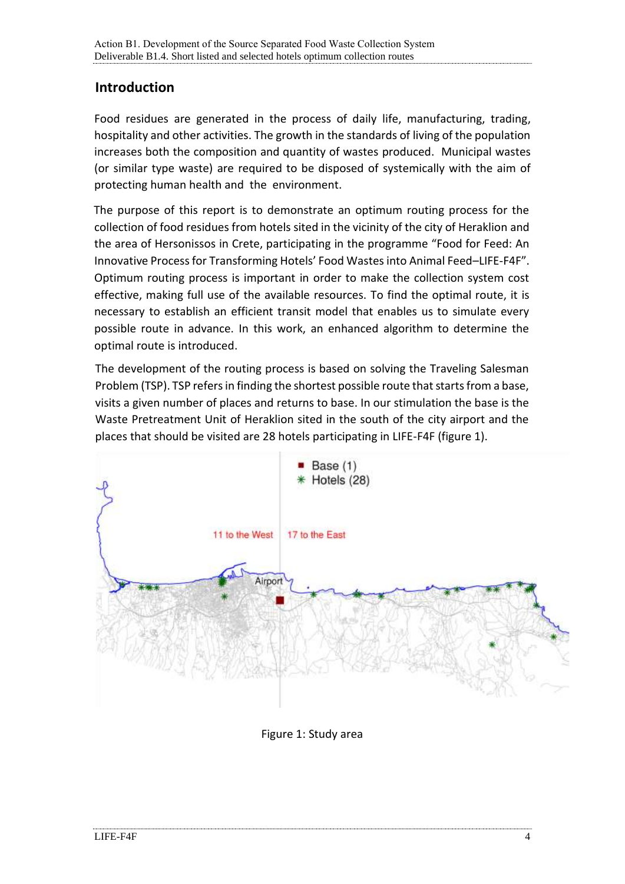### <span id="page-3-0"></span>**Introduction**

Food residues are generated in the process of daily life, manufacturing, trading, hospitality and other activities. The growth in the standards of living of the population increases both the composition and quantity of wastes produced. Municipal wastes (or similar type waste) are required to be disposed of systemically with the aim of protecting human health and the environment.

The purpose of this report is to demonstrate an optimum routing process for the collection of food residues from hotels sited in the vicinity of the city of Heraklion and the area of Hersonissos in Crete, participating in the programme "Food for Feed: An Innovative Process for Transforming Hotels' Food Wastes into Animal Feed–LIFE-F4F". Optimum routing process is important in order to make the collection system cost effective, making full use of the available resources. To find the optimal route, it is necessary to establish an efficient transit model that enables us to simulate every possible route in advance. In this work, an enhanced algorithm to determine the optimal route is introduced.

The development of the routing process is based on solving the Traveling Salesman Problem (TSP). TSP refers in finding the shortest possible route that starts from a base, visits a given number of places and returns to base. In our stimulation the base is the Waste Pretreatment Unit of Heraklion sited in the south of the city airport and the places that should be visited are 28 hotels participating in LIFE-F4F (figure 1).



Figure 1: Study area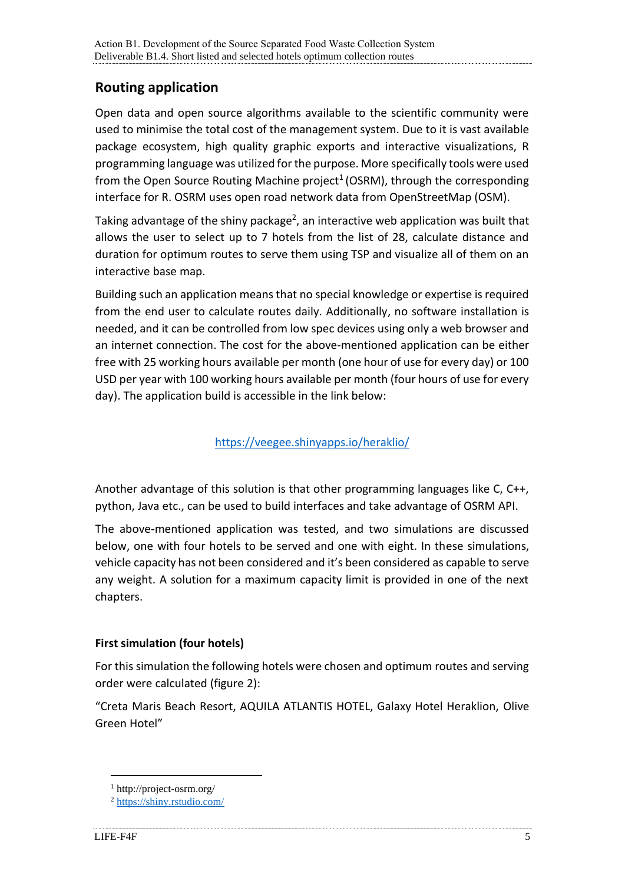### <span id="page-4-0"></span>**Routing application**

Open data and open source algorithms available to the scientific community were used to minimise the total cost of the management system. Due to it is vast available package ecosystem, high quality graphic exports and interactive visualizations, R programming language was utilized for the purpose. More specifically tools were used from the Open Source Routing Machine project<sup>1</sup> (OSRM), through the corresponding interface for R. OSRM uses open road network data from OpenStreetMap (OSM).

Taking advantage of the shiny package<sup>2</sup>, an interactive web application was built that allows the user to select up to 7 hotels from the list of 28, calculate distance and duration for optimum routes to serve them using TSP and visualize all of them on an interactive base map.

Building such an application means that no special knowledge or expertise is required from the end user to calculate routes daily. Additionally, no software installation is needed, and it can be controlled from low spec devices using only a web browser and an internet connection. The cost for the above-mentioned application can be either free with 25 working hours available per month (one hour of use for every day) or 100 USD per year with 100 working hours available per month (four hours of use for every day). The application build is accessible in the link below:

<https://veegee.shinyapps.io/heraklio/>

Another advantage of this solution is that other programming languages like C, C++, python, Java etc., can be used to build interfaces and take advantage of OSRM API.

The above-mentioned application was tested, and two simulations are discussed below, one with four hotels to be served and one with eight. In these simulations, vehicle capacity has not been considered and it's been considered as capable to serve any weight. A solution for a maximum capacity limit is provided in one of the next chapters.

#### <span id="page-4-1"></span>**First simulation (four hotels)**

For this simulation the following hotels were chosen and optimum routes and serving order were calculated (figure 2):

"Creta Maris Beach Resort, AQUILA ATLANTIS HOTEL, Galaxy Hotel Heraklion, Olive Green Hotel"

<sup>1</sup> http://project-osrm.org/

<sup>2</sup> <https://shiny.rstudio.com/>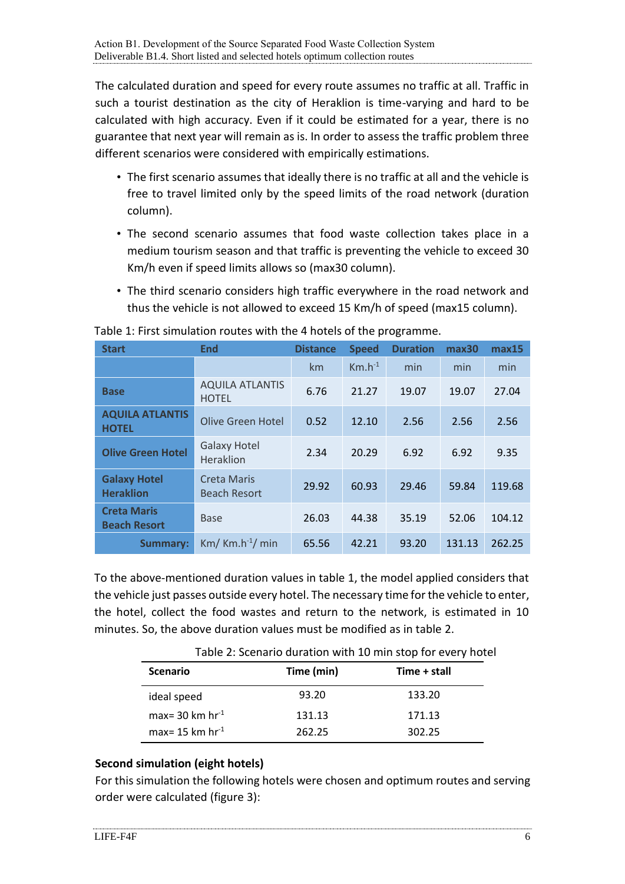The calculated duration and speed for every route assumes no traffic at all. Traffic in such a tourist destination as the city of Heraklion is time-varying and hard to be calculated with high accuracy. Even if it could be estimated for a year, there is no guarantee that next year will remain as is. In order to assess the traffic problem three different scenarios were considered with empirically estimations.

- The first scenario assumes that ideally there is no traffic at all and the vehicle is free to travel limited only by the speed limits of the road network (duration column).
- The second scenario assumes that food waste collection takes place in a medium tourism season and that traffic is preventing the vehicle to exceed 30 Km/h even if speed limits allows so (max30 column).
- The third scenario considers high traffic everywhere in the road network and thus the vehicle is not allowed to exceed 15 Km/h of speed (max15 column).

| <b>Start</b>                              | <b>End</b>                             | <b>Distance</b> | <b>Speed</b> | <b>Duration</b> | max30  | max15  |
|-------------------------------------------|----------------------------------------|-----------------|--------------|-----------------|--------|--------|
|                                           |                                        | km              | $Km.h^{-1}$  | min             | min    | min    |
| <b>Base</b>                               | <b>AQUILA ATLANTIS</b><br><b>HOTEL</b> | 6.76            | 21.27        | 19.07           | 19.07  | 27.04  |
| <b>AQUILA ATLANTIS</b><br><b>HOTEL</b>    | <b>Olive Green Hotel</b>               | 0.52            | 12.10        | 2.56            | 2.56   | 2.56   |
| <b>Olive Green Hotel</b>                  | <b>Galaxy Hotel</b><br>Heraklion       | 2.34            | 20.29        | 6.92            | 6.92   | 9.35   |
| <b>Galaxy Hotel</b><br><b>Heraklion</b>   | Creta Maris<br><b>Beach Resort</b>     | 29.92           | 60.93        | 29.46           | 59.84  | 119.68 |
| <b>Creta Maris</b><br><b>Beach Resort</b> | <b>Base</b>                            | 26.03           | 44.38        | 35.19           | 52.06  | 104.12 |
| <b>Summary:</b>                           | $Km/Km.h-1/min$                        | 65.56           | 42.21        | 93.20           | 131.13 | 262.25 |

Table 1: First simulation routes with the 4 hotels of the programme.

To the above-mentioned duration values in table 1, the model applied considers that the vehicle just passes outside every hotel. The necessary time for the vehicle to enter, the hotel, collect the food wastes and return to the network, is estimated in 10 minutes. So, the above duration values must be modified as in table 2.

|            | Table 2. Secritational action with 10 min stop for every not |
|------------|--------------------------------------------------------------|
| Time (min) | Time + stall                                                 |
| 93.20      | 133.20                                                       |
| 131.13     | 171.13                                                       |
| 262.25     | 302.25                                                       |
|            |                                                              |

Table  $2<sup>i</sup>$  Scenario duration with 10 min stop for every hotel

#### <span id="page-5-0"></span>**Second simulation (eight hotels)**

For this simulation the following hotels were chosen and optimum routes and serving order were calculated (figure 3):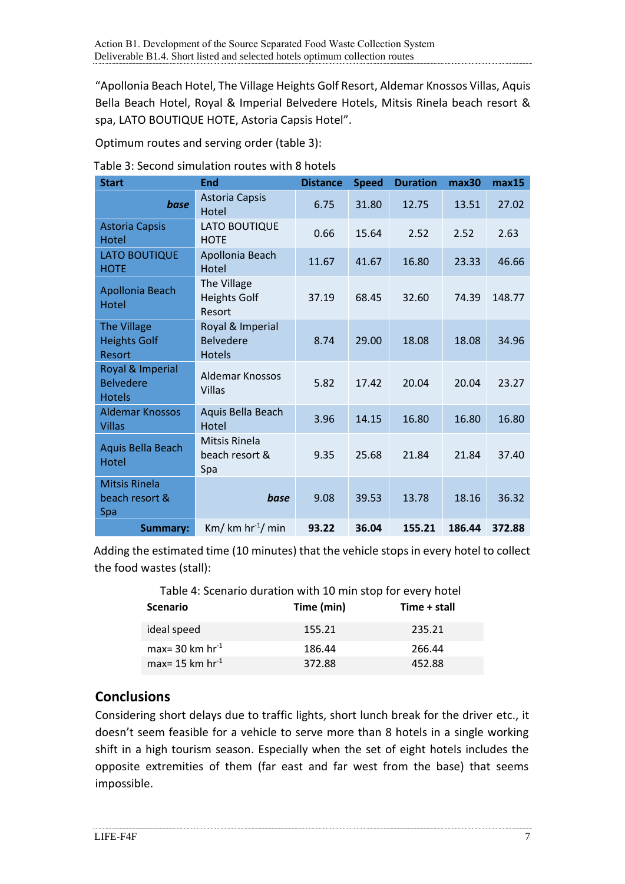"Apollonia Beach Hotel, The Village Heights Golf Resort, Aldemar Knossos Villas, Aquis Bella Beach Hotel, Royal & Imperial Belvedere Hotels, Mitsis Rinela beach resort & spa, LATO BOUTIQUE HOTE, Astoria Capsis Hotel".

Optimum routes and serving order (table 3):

| <b>Start</b>                                               | <b>End</b>                                            | <b>Distance</b> | <b>Speed</b> | <b>Duration</b> | max30  | max15  |
|------------------------------------------------------------|-------------------------------------------------------|-----------------|--------------|-----------------|--------|--------|
| base                                                       | <b>Astoria Capsis</b><br>Hotel                        | 6.75            | 31.80        | 12.75           | 13.51  | 27.02  |
| <b>Astoria Capsis</b><br>Hotel                             | LATO BOUTIQUE<br><b>HOTE</b>                          | 0.66            | 15.64        | 2.52            | 2.52   | 2.63   |
| <b>LATO BOUTIQUE</b><br><b>HOTE</b>                        | Apollonia Beach<br>Hotel                              | 11.67           | 41.67        | 16.80           | 23.33  | 46.66  |
| Apollonia Beach<br>Hotel                                   | The Village<br><b>Heights Golf</b><br>Resort          | 37.19           | 68.45        | 32.60           | 74.39  | 148.77 |
| <b>The Village</b><br><b>Heights Golf</b><br><b>Resort</b> | Royal & Imperial<br><b>Belvedere</b><br><b>Hotels</b> | 8.74            | 29.00        | 18.08           | 18.08  | 34.96  |
| Royal & Imperial<br><b>Belvedere</b><br><b>Hotels</b>      | <b>Aldemar Knossos</b><br><b>Villas</b>               | 5.82            | 17.42        | 20.04           | 20.04  | 23.27  |
| <b>Aldemar Knossos</b><br><b>Villas</b>                    | Aquis Bella Beach<br>Hotel                            | 3.96            | 14.15        | 16.80           | 16.80  | 16.80  |
| Aquis Bella Beach<br>Hotel                                 | Mitsis Rinela<br>beach resort &<br>Spa                | 9.35            | 25.68        | 21.84           | 21.84  | 37.40  |
| <b>Mitsis Rinela</b><br>beach resort &<br>Spa              | base                                                  | 9.08            | 39.53        | 13.78           | 18.16  | 36.32  |
| Summary:                                                   | Km/ km hr <sup>-1</sup> / min                         | 93.22           | 36.04        | 155.21          | 186.44 | 372.88 |

Table 3: Second simulation routes with 8 hotels

Adding the estimated time (10 minutes) that the vehicle stops in every hotel to collect the food wastes (stall):

| Table 4: Scenario duration with 10 min stop for every hotel |            |              |  |  |
|-------------------------------------------------------------|------------|--------------|--|--|
| <b>Scenario</b>                                             | Time (min) | Time + stall |  |  |
| ideal speed                                                 | 155.21     | 235.21       |  |  |
| max= $30 \text{ km hr}^{-1}$                                | 186.44     | 266.44       |  |  |
| max= 15 km $hr-1$                                           | 372.88     | 452.88       |  |  |

### <span id="page-6-0"></span>**Conclusions**

Considering short delays due to traffic lights, short lunch break for the driver etc., it doesn't seem feasible for a vehicle to serve more than 8 hotels in a single working shift in a high tourism season. Especially when the set of eight hotels includes the opposite extremities of them (far east and far west from the base) that seems impossible.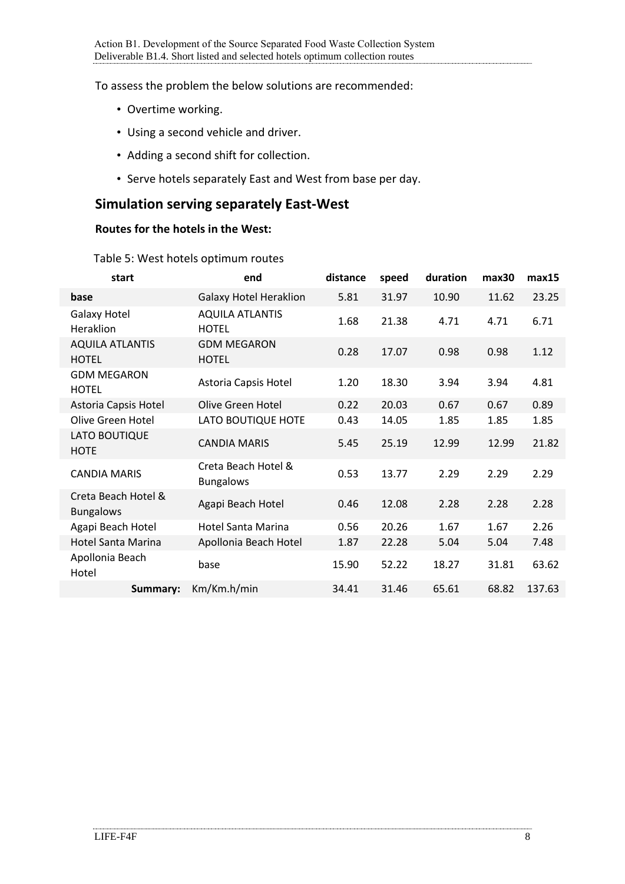#### To assess the problem the below solutions are recommended:

- Overtime working.
- Using a second vehicle and driver.
- Adding a second shift for collection.
- Serve hotels separately East and West from base per day.

### <span id="page-7-0"></span>**Simulation serving separately East-West**

#### **Routes for the hotels in the West:**

| start                                   | end                                     | distance | speed | duration | max30 | max15  |
|-----------------------------------------|-----------------------------------------|----------|-------|----------|-------|--------|
| base                                    | <b>Galaxy Hotel Heraklion</b>           | 5.81     | 31.97 | 10.90    | 11.62 | 23.25  |
| Galaxy Hotel<br><b>Heraklion</b>        | <b>AQUILA ATLANTIS</b><br><b>HOTEL</b>  | 1.68     | 21.38 | 4.71     | 4.71  | 6.71   |
| <b>AQUILA ATLANTIS</b><br><b>HOTEL</b>  | <b>GDM MEGARON</b><br><b>HOTEL</b>      | 0.28     | 17.07 | 0.98     | 0.98  | 1.12   |
| <b>GDM MEGARON</b><br><b>HOTEL</b>      | Astoria Capsis Hotel                    | 1.20     | 18.30 | 3.94     | 3.94  | 4.81   |
| Astoria Capsis Hotel                    | Olive Green Hotel                       | 0.22     | 20.03 | 0.67     | 0.67  | 0.89   |
| Olive Green Hotel                       | <b>LATO BOUTIQUE HOTE</b>               | 0.43     | 14.05 | 1.85     | 1.85  | 1.85   |
| LATO BOUTIQUE<br><b>HOTE</b>            | <b>CANDIA MARIS</b>                     | 5.45     | 25.19 | 12.99    | 12.99 | 21.82  |
| <b>CANDIA MARIS</b>                     | Creta Beach Hotel &<br><b>Bungalows</b> | 0.53     | 13.77 | 2.29     | 2.29  | 2.29   |
| Creta Beach Hotel &<br><b>Bungalows</b> | Agapi Beach Hotel                       | 0.46     | 12.08 | 2.28     | 2.28  | 2.28   |
| Agapi Beach Hotel                       | <b>Hotel Santa Marina</b>               | 0.56     | 20.26 | 1.67     | 1.67  | 2.26   |
| <b>Hotel Santa Marina</b>               | Apollonia Beach Hotel                   | 1.87     | 22.28 | 5.04     | 5.04  | 7.48   |
| Apollonia Beach<br>Hotel                | base                                    | 15.90    | 52.22 | 18.27    | 31.81 | 63.62  |
| Summary:                                | Km/Km.h/min                             | 34.41    | 31.46 | 65.61    | 68.82 | 137.63 |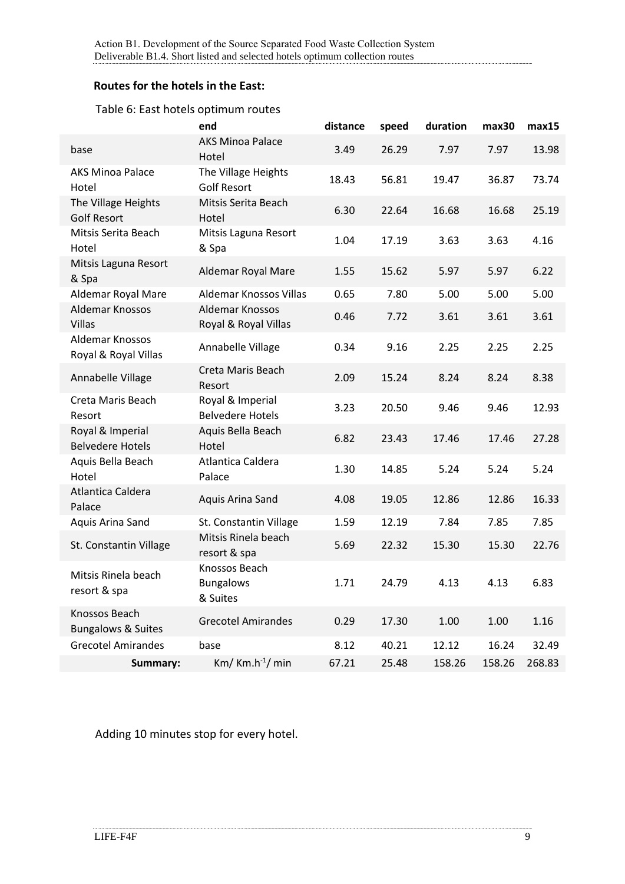#### **Routes for the hotels in the East:**

#### Table 6: East hotels optimum routes

|                                                | end                                           | distance | speed | duration | max30  | max15  |
|------------------------------------------------|-----------------------------------------------|----------|-------|----------|--------|--------|
| base                                           | <b>AKS Minoa Palace</b><br>Hotel              | 3.49     | 26.29 | 7.97     | 7.97   | 13.98  |
| <b>AKS Minoa Palace</b><br>Hotel               | The Village Heights<br><b>Golf Resort</b>     | 18.43    | 56.81 | 19.47    | 36.87  | 73.74  |
| The Village Heights<br><b>Golf Resort</b>      | Mitsis Serita Beach<br>Hotel                  | 6.30     | 22.64 | 16.68    | 16.68  | 25.19  |
| Mitsis Serita Beach<br>Hotel                   | Mitsis Laguna Resort<br>& Spa                 | 1.04     | 17.19 | 3.63     | 3.63   | 4.16   |
| Mitsis Laguna Resort<br>& Spa                  | Aldemar Royal Mare                            | 1.55     | 15.62 | 5.97     | 5.97   | 6.22   |
| Aldemar Royal Mare                             | Aldemar Knossos Villas                        | 0.65     | 7.80  | 5.00     | 5.00   | 5.00   |
| Aldemar Knossos<br>Villas                      | Aldemar Knossos<br>Royal & Royal Villas       | 0.46     | 7.72  | 3.61     | 3.61   | 3.61   |
| Aldemar Knossos<br>Royal & Royal Villas        | Annabelle Village                             | 0.34     | 9.16  | 2.25     | 2.25   | 2.25   |
| Annabelle Village                              | Creta Maris Beach<br>Resort                   | 2.09     | 15.24 | 8.24     | 8.24   | 8.38   |
| Creta Maris Beach<br>Resort                    | Royal & Imperial<br><b>Belvedere Hotels</b>   | 3.23     | 20.50 | 9.46     | 9.46   | 12.93  |
| Royal & Imperial<br><b>Belvedere Hotels</b>    | Aquis Bella Beach<br>Hotel                    | 6.82     | 23.43 | 17.46    | 17.46  | 27.28  |
| Aquis Bella Beach<br>Hotel                     | Atlantica Caldera<br>Palace                   | 1.30     | 14.85 | 5.24     | 5.24   | 5.24   |
| Atlantica Caldera<br>Palace                    | Aquis Arina Sand                              | 4.08     | 19.05 | 12.86    | 12.86  | 16.33  |
| Aquis Arina Sand                               | St. Constantin Village                        | 1.59     | 12.19 | 7.84     | 7.85   | 7.85   |
| St. Constantin Village                         | Mitsis Rinela beach<br>resort & spa           | 5.69     | 22.32 | 15.30    | 15.30  | 22.76  |
| Mitsis Rinela beach<br>resort & spa            | Knossos Beach<br><b>Bungalows</b><br>& Suites | 1.71     | 24.79 | 4.13     | 4.13   | 6.83   |
| Knossos Beach<br><b>Bungalows &amp; Suites</b> | <b>Grecotel Amirandes</b>                     | 0.29     | 17.30 | 1.00     | 1.00   | 1.16   |
| <b>Grecotel Amirandes</b>                      | base                                          | 8.12     | 40.21 | 12.12    | 16.24  | 32.49  |
| Summary:                                       | $Km/Km.h-1/min$                               | 67.21    | 25.48 | 158.26   | 158.26 | 268.83 |

Adding 10 minutes stop for every hotel.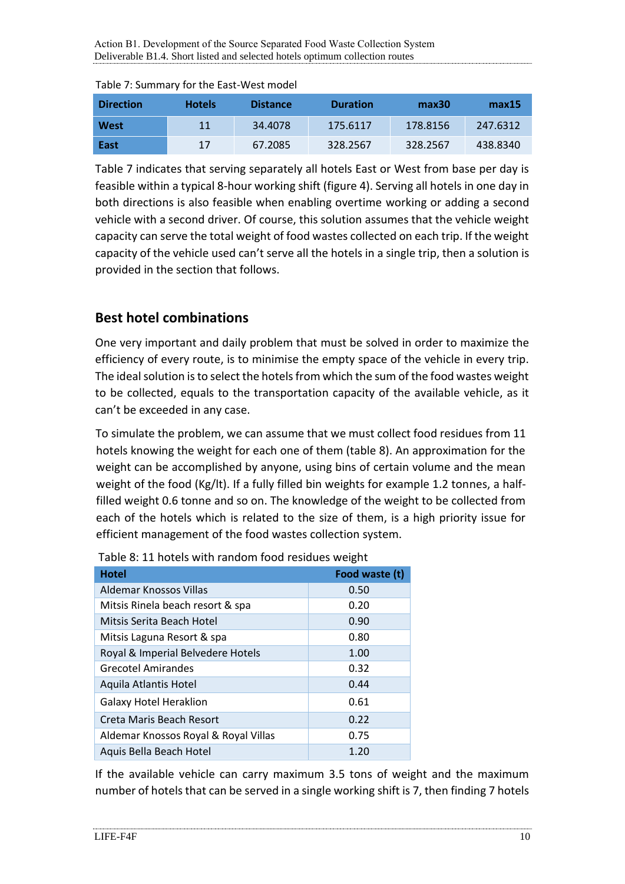| <b>Direction</b> | <b>Hotels</b> | <b>Distance</b> | <b>Duration</b> | max30    | max15    |
|------------------|---------------|-----------------|-----------------|----------|----------|
| <b>West</b>      | 11            | 34.4078         | 175.6117        | 178.8156 | 247.6312 |
| East             | 17            | 67.2085         | 328.2567        | 328.2567 | 438.8340 |

Table 7: Summary for the East-West model

Table 7 indicates that serving separately all hotels East or West from base per day is feasible within a typical 8-hour working shift (figure 4). Serving all hotels in one day in both directions is also feasible when enabling overtime working or adding a second vehicle with a second driver. Of course, this solution assumes that the vehicle weight capacity can serve the total weight of food wastes collected on each trip. If the weight capacity of the vehicle used can't serve all the hotels in a single trip, then a solution is provided in the section that follows.

### <span id="page-9-0"></span>**Best hotel combinations**

One very important and daily problem that must be solved in order to maximize the efficiency of every route, is to minimise the empty space of the vehicle in every trip. The ideal solution is to select the hotels from which the sum of the food wastes weight to be collected, equals to the transportation capacity of the available vehicle, as it can't be exceeded in any case.

To simulate the problem, we can assume that we must collect food residues from 11 hotels knowing the weight for each one of them (table 8). An approximation for the weight can be accomplished by anyone, using bins of certain volume and the mean weight of the food (Kg/lt). If a fully filled bin weights for example 1.2 tonnes, a halffilled weight 0.6 tonne and so on. The knowledge of the weight to be collected from each of the hotels which is related to the size of them, is a high priority issue for efficient management of the food wastes collection system.

| <b>Hotel</b>                         | Food waste (t) |
|--------------------------------------|----------------|
| Aldemar Knossos Villas               | 0.50           |
| Mitsis Rinela beach resort & spa     | 0.20           |
| Mitsis Serita Beach Hotel            | 0.90           |
| Mitsis Laguna Resort & spa           | 0.80           |
| Royal & Imperial Belvedere Hotels    | 1.00           |
| <b>Grecotel Amirandes</b>            | 0.32           |
| Aquila Atlantis Hotel                | 0.44           |
| <b>Galaxy Hotel Heraklion</b>        | 0.61           |
| Creta Maris Beach Resort             | 0.22           |
| Aldemar Knossos Royal & Royal Villas | 0.75           |
| Aquis Bella Beach Hotel              | 1.20           |

| Table 8: 11 hotels with random food residues weight |  |
|-----------------------------------------------------|--|
|-----------------------------------------------------|--|

If the available vehicle can carry maximum 3.5 tons of weight and the maximum number of hotels that can be served in a single working shift is 7, then finding 7 hotels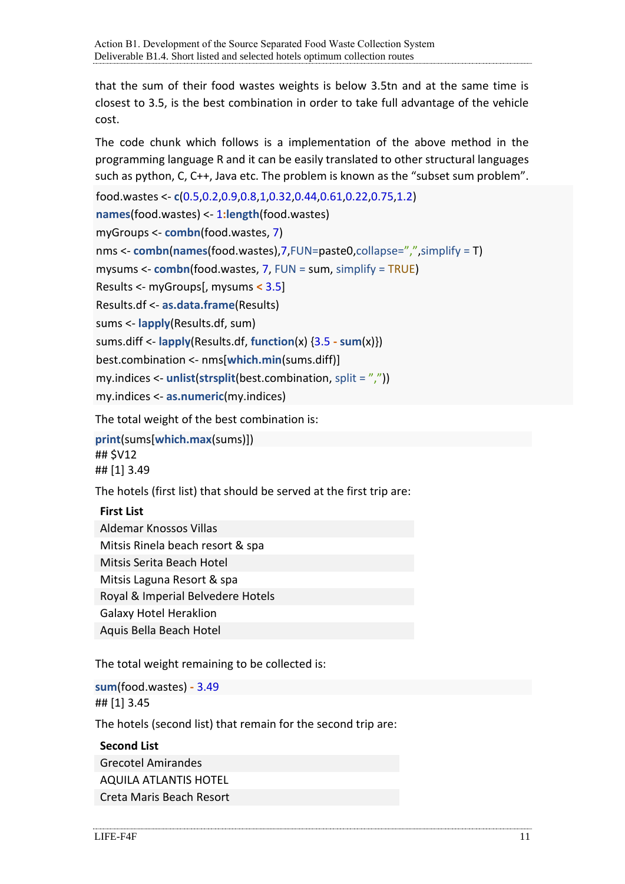that the sum of their food wastes weights is below 3.5tn and at the same time is closest to 3.5, is the best combination in order to take full advantage of the vehicle cost.

The code chunk which follows is a implementation of the above method in the programming language R and it can be easily translated to other structural languages such as python, C, C++, Java etc. The problem is known as the "subset sum problem".

```
food.wastes <- c(0.5,0.2,0.9,0.8,1,0.32,0.44,0.61,0.22,0.75,1.2)
names(food.wastes) <- 1:length(food.wastes) 
myGroups <- combn(food.wastes, 7)
nms <- combn(names(food.wastes),7,FUN=paste0,collapse=",",simplify = T)
mysums <- combn(food.wastes, 7, FUN = sum, simplify = TRUE)
Results <- myGroups[, mysums < 3.5] 
Results.df <- as.data.frame(Results) 
sums <- lapply(Results.df, sum)
sums.diff <- lapply(Results.df, function(x) {3.5 - sum(x)}) 
best.combination <- nms[which.min(sums.diff)] 
my.indices <- unlist(strsplit(best.combination, split = ","))
my.indices <- as.numeric(my.indices)
```
The total weight of the best combination is:

```
print(sums[which.max(sums)])
## $V12
## [1] 3.49
```
The hotels (first list) that should be served at the first trip are:

#### **First List**

Aldemar Knossos Villas Mitsis Rinela beach resort & spa Mitsis Serita Beach Hotel Mitsis Laguna Resort & spa Royal & Imperial Belvedere Hotels Galaxy Hotel Heraklion Aquis Bella Beach Hotel

The total weight remaining to be collected is:

**sum**(food.wastes) **-** 3.49 ## [1] 3.45

The hotels (second list) that remain for the second trip are:

```
Second List
Grecotel Amirandes
AQUILA ATLANTIS HOTEL
Creta Maris Beach Resort
```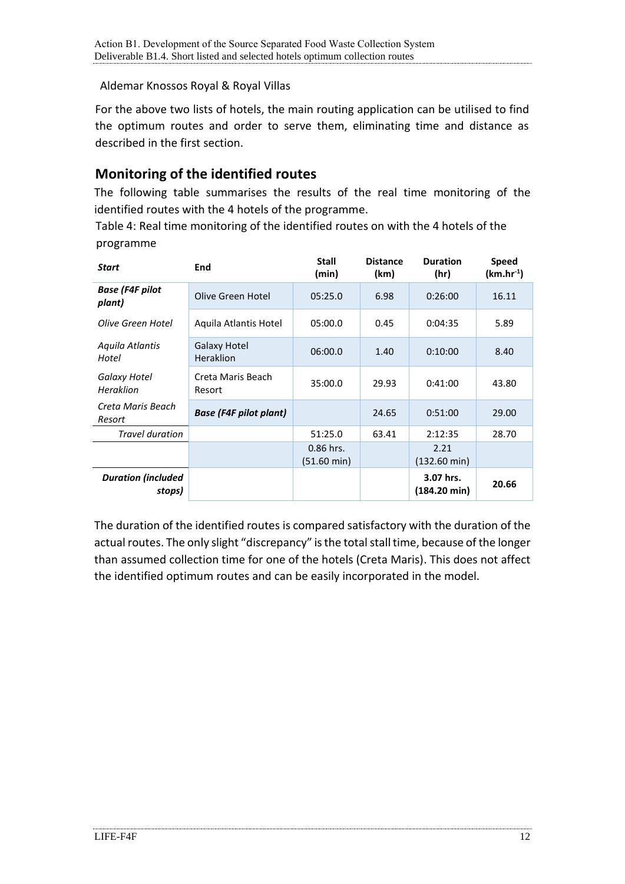#### Aldemar Knossos Royal & Royal Villas

For the above two lists of hotels, the main routing application can be utilised to find the optimum routes and order to serve them, eliminating time and distance as described in the first section.

### <span id="page-11-0"></span>**Monitoring of the identified routes**

The following table summarises the results of the real time monitoring of the identified routes with the 4 hotels of the programme.

Table 4: Real time monitoring of the identified routes on with the 4 hotels of the programme

| Start                               | <b>End</b>                    | <b>Stall</b><br>(min)                | <b>Distance</b><br>(km) | <b>Duration</b><br>(hr)             | <b>Speed</b><br>$(km/hr^{-1})$ |
|-------------------------------------|-------------------------------|--------------------------------------|-------------------------|-------------------------------------|--------------------------------|
| <b>Base (F4F pilot</b><br>plant)    | Olive Green Hotel             | 05:25.0                              | 6.98                    | 0:26:00                             | 16.11                          |
| Olive Green Hotel                   | Aquila Atlantis Hotel         | 05:00.0                              | 0.45                    | 0:04:35                             | 5.89                           |
| Aquila Atlantis<br>Hotel            | Galaxy Hotel<br>Heraklion     | 06:00.0                              | 1.40                    | 0:10:00                             | 8.40                           |
| Galaxy Hotel<br>Heraklion           | Creta Maris Beach<br>Resort   | 35:00.0                              | 29.93                   | 0:41:00                             | 43.80                          |
| Creta Maris Beach<br>Resort         | <b>Base (F4F pilot plant)</b> |                                      | 24.65                   | 0:51:00                             | 29.00                          |
| <b>Travel duration</b>              |                               | 51:25.0                              | 63.41                   | 2:12:35                             | 28.70                          |
|                                     |                               | $0.86$ hrs.<br>$(51.60 \text{ min})$ |                         | 2.21<br>$(132.60 \text{ min})$      |                                |
| <b>Duration (included</b><br>stops) |                               |                                      |                         | 3.07 hrs.<br>$(184.20 \text{ min})$ | 20.66                          |

The duration of the identified routes is compared satisfactory with the duration of the actual routes. The only slight "discrepancy" is the total stall time, because of the longer than assumed collection time for one of the hotels (Creta Maris). This does not affect the identified optimum routes and can be easily incorporated in the model.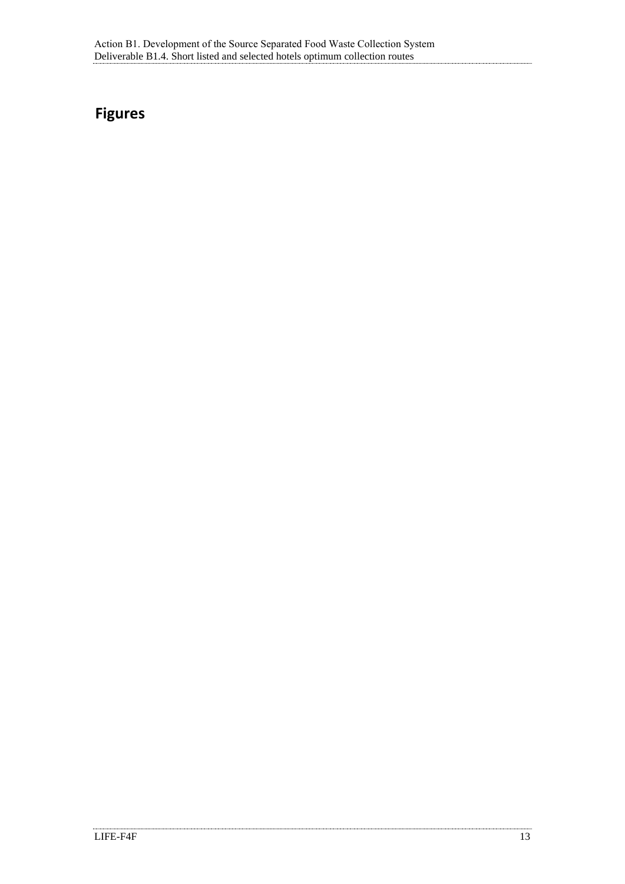# <span id="page-12-0"></span>**Figures**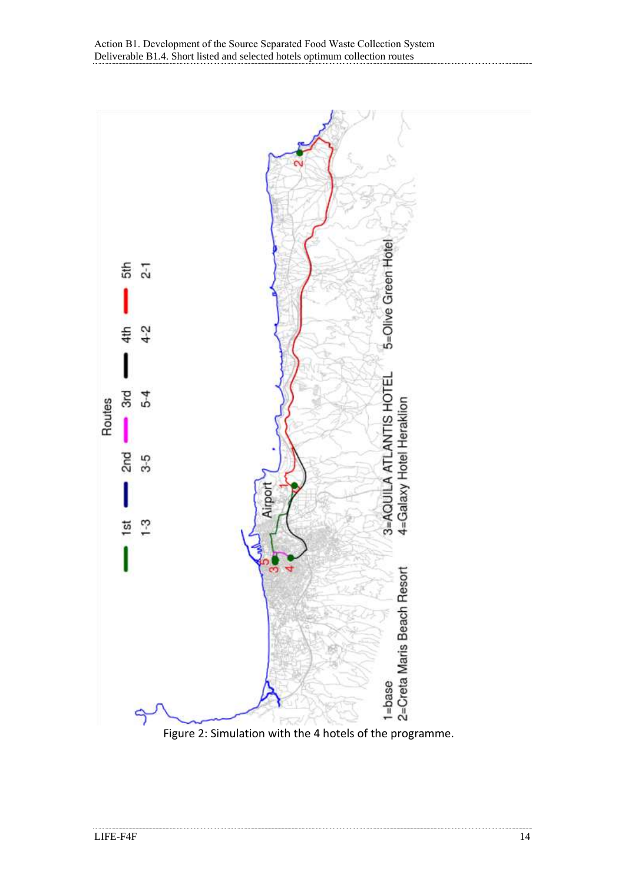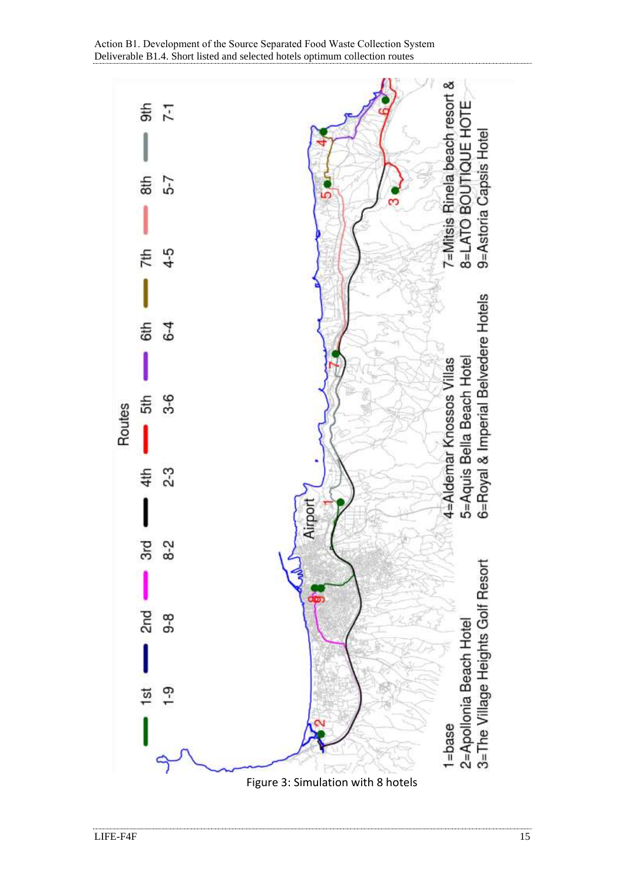